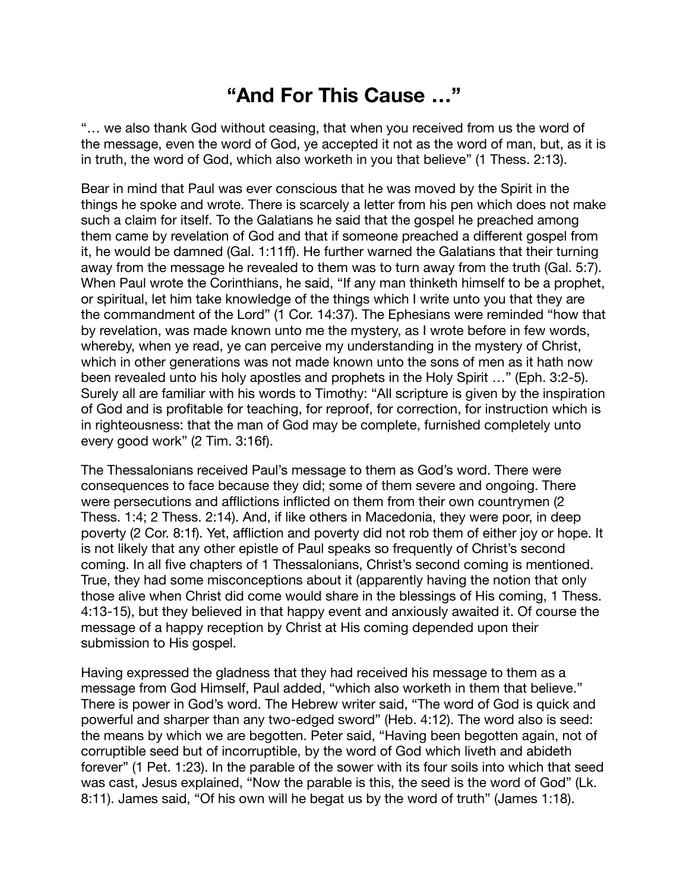## **"And For This Cause …"**

"… we also thank God without ceasing, that when you received from us the word of the message, even the word of God, ye accepted it not as the word of man, but, as it is in truth, the word of God, which also worketh in you that believe" (1 Thess. 2:13).

Bear in mind that Paul was ever conscious that he was moved by the Spirit in the things he spoke and wrote. There is scarcely a letter from his pen which does not make such a claim for itself. To the Galatians he said that the gospel he preached among them came by revelation of God and that if someone preached a different gospel from it, he would be damned (Gal. 1:11ff). He further warned the Galatians that their turning away from the message he revealed to them was to turn away from the truth (Gal. 5:7). When Paul wrote the Corinthians, he said, "If any man thinketh himself to be a prophet, or spiritual, let him take knowledge of the things which I write unto you that they are the commandment of the Lord" (1 Cor. 14:37). The Ephesians were reminded "how that by revelation, was made known unto me the mystery, as I wrote before in few words, whereby, when ye read, ye can perceive my understanding in the mystery of Christ, which in other generations was not made known unto the sons of men as it hath now been revealed unto his holy apostles and prophets in the Holy Spirit …" (Eph. 3:2-5). Surely all are familiar with his words to Timothy: "All scripture is given by the inspiration of God and is profitable for teaching, for reproof, for correction, for instruction which is in righteousness: that the man of God may be complete, furnished completely unto every good work" (2 Tim. 3:16f).

The Thessalonians received Paul's message to them as God's word. There were consequences to face because they did; some of them severe and ongoing. There were persecutions and afflictions inflicted on them from their own countrymen (2 Thess. 1:4; 2 Thess. 2:14). And, if like others in Macedonia, they were poor, in deep poverty (2 Cor. 8:1f). Yet, affliction and poverty did not rob them of either joy or hope. It is not likely that any other epistle of Paul speaks so frequently of Christ's second coming. In all five chapters of 1 Thessalonians, Christ's second coming is mentioned. True, they had some misconceptions about it (apparently having the notion that only those alive when Christ did come would share in the blessings of His coming, 1 Thess. 4:13-15), but they believed in that happy event and anxiously awaited it. Of course the message of a happy reception by Christ at His coming depended upon their submission to His gospel.

Having expressed the gladness that they had received his message to them as a message from God Himself, Paul added, "which also worketh in them that believe." There is power in God's word. The Hebrew writer said, "The word of God is quick and powerful and sharper than any two-edged sword" (Heb. 4:12). The word also is seed: the means by which we are begotten. Peter said, "Having been begotten again, not of corruptible seed but of incorruptible, by the word of God which liveth and abideth forever" (1 Pet. 1:23). In the parable of the sower with its four soils into which that seed was cast, Jesus explained, "Now the parable is this, the seed is the word of God" (Lk. 8:11). James said, "Of his own will he begat us by the word of truth" (James 1:18).